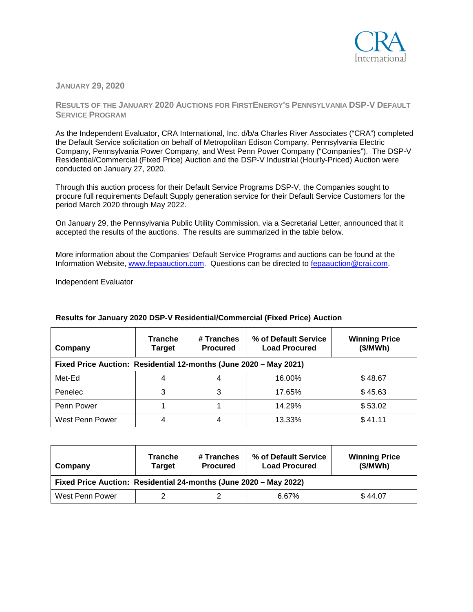

**JANUARY 29, 2020**

**RESULTS OF THE JANUARY 2020 AUCTIONS FOR FIRSTENERGY'S PENNSYLVANIA DSP-V DEFAULT SERVICE PROGRAM**

As the Independent Evaluator, CRA International, Inc. d/b/a Charles River Associates ("CRA") completed the Default Service solicitation on behalf of Metropolitan Edison Company, Pennsylvania Electric Company, Pennsylvania Power Company, and West Penn Power Company ("Companies"). The DSP-V Residential/Commercial (Fixed Price) Auction and the DSP-V Industrial (Hourly-Priced) Auction were conducted on January 27, 2020.

Through this auction process for their Default Service Programs DSP-V, the Companies sought to procure full requirements Default Supply generation service for their Default Service Customers for the period March 2020 through May 2022.

On January 29, the Pennsylvania Public Utility Commission, via a Secretarial Letter, announced that it accepted the results of the auctions. The results are summarized in the table below.

More information about the Companies' Default Service Programs and auctions can be found at the Information Website, [www.fepaauction.com.](http://www.fepaauction.com/) Questions can be directed to [fepaauction@crai.com.](mailto:fepaauction@crai.com)

Independent Evaluator

| Company                                                           | <b>Tranche</b><br><b>Target</b> | # Tranches<br><b>Procured</b> | % of Default Service<br><b>Load Procured</b> | <b>Winning Price</b><br>(\$/MWh) |  |
|-------------------------------------------------------------------|---------------------------------|-------------------------------|----------------------------------------------|----------------------------------|--|
| Fixed Price Auction: Residential 12-months (June 2020 - May 2021) |                                 |                               |                                              |                                  |  |
| Met-Ed                                                            | 4                               | 4                             | 16.00%                                       | \$48.67                          |  |
| Penelec                                                           |                                 |                               | 17.65%                                       | \$45.63                          |  |
| Penn Power                                                        |                                 |                               | 14.29%                                       | \$53.02                          |  |
| West Penn Power                                                   |                                 |                               | 13.33%                                       | \$41.11                          |  |

## **Results for January 2020 DSP-V Residential/Commercial (Fixed Price) Auction**

| Company                                                           | Tranche<br><b>Target</b> | # Tranches<br><b>Procured</b> | % of Default Service<br><b>Load Procured</b> | <b>Winning Price</b><br>(\$/MWh) |  |
|-------------------------------------------------------------------|--------------------------|-------------------------------|----------------------------------------------|----------------------------------|--|
| Fixed Price Auction: Residential 24-months (June 2020 - May 2022) |                          |                               |                                              |                                  |  |
| West Penn Power                                                   |                          |                               | 6.67%                                        | \$44.07                          |  |